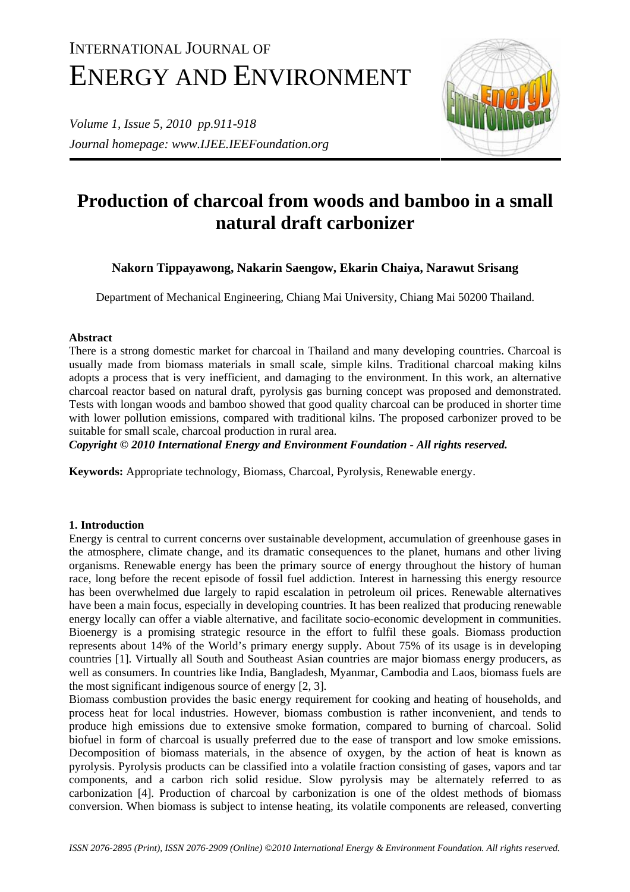# INTERNATIONAL JOURNAL OF ENERGY AND ENVIRONMENT

*Volume 1, Issue 5, 2010 pp.911-918 Journal homepage: www.IJEE.IEEFoundation.org* 



## **Production of charcoal from woods and bamboo in a small natural draft carbonizer**

### **Nakorn Tippayawong, Nakarin Saengow, Ekarin Chaiya, Narawut Srisang**

Department of Mechanical Engineering, Chiang Mai University, Chiang Mai 50200 Thailand.

#### **Abstract**

There is a strong domestic market for charcoal in Thailand and many developing countries. Charcoal is usually made from biomass materials in small scale, simple kilns. Traditional charcoal making kilns adopts a process that is very inefficient, and damaging to the environment. In this work, an alternative charcoal reactor based on natural draft, pyrolysis gas burning concept was proposed and demonstrated. Tests with longan woods and bamboo showed that good quality charcoal can be produced in shorter time with lower pollution emissions, compared with traditional kilns. The proposed carbonizer proved to be suitable for small scale, charcoal production in rural area.

*Copyright © 2010 International Energy and Environment Foundation - All rights reserved.*

**Keywords:** Appropriate technology, Biomass, Charcoal, Pyrolysis, Renewable energy.

#### **1. Introduction**

Energy is central to current concerns over sustainable development, accumulation of greenhouse gases in the atmosphere, climate change, and its dramatic consequences to the planet, humans and other living organisms. Renewable energy has been the primary source of energy throughout the history of human race, long before the recent episode of fossil fuel addiction. Interest in harnessing this energy resource has been overwhelmed due largely to rapid escalation in petroleum oil prices. Renewable alternatives have been a main focus, especially in developing countries. It has been realized that producing renewable energy locally can offer a viable alternative, and facilitate socio-economic development in communities. Bioenergy is a promising strategic resource in the effort to fulfil these goals. Biomass production represents about 14% of the World's primary energy supply. About 75% of its usage is in developing countries [1]. Virtually all South and Southeast Asian countries are major biomass energy producers, as well as consumers. In countries like India, Bangladesh, Myanmar, Cambodia and Laos, biomass fuels are the most significant indigenous source of energy [2, 3].

Biomass combustion provides the basic energy requirement for cooking and heating of households, and process heat for local industries. However, biomass combustion is rather inconvenient, and tends to produce high emissions due to extensive smoke formation, compared to burning of charcoal. Solid biofuel in form of charcoal is usually preferred due to the ease of transport and low smoke emissions. Decomposition of biomass materials, in the absence of oxygen, by the action of heat is known as pyrolysis. Pyrolysis products can be classified into a volatile fraction consisting of gases, vapors and tar components, and a carbon rich solid residue. Slow pyrolysis may be alternately referred to as carbonization [4]. Production of charcoal by carbonization is one of the oldest methods of biomass conversion. When biomass is subject to intense heating, its volatile components are released, converting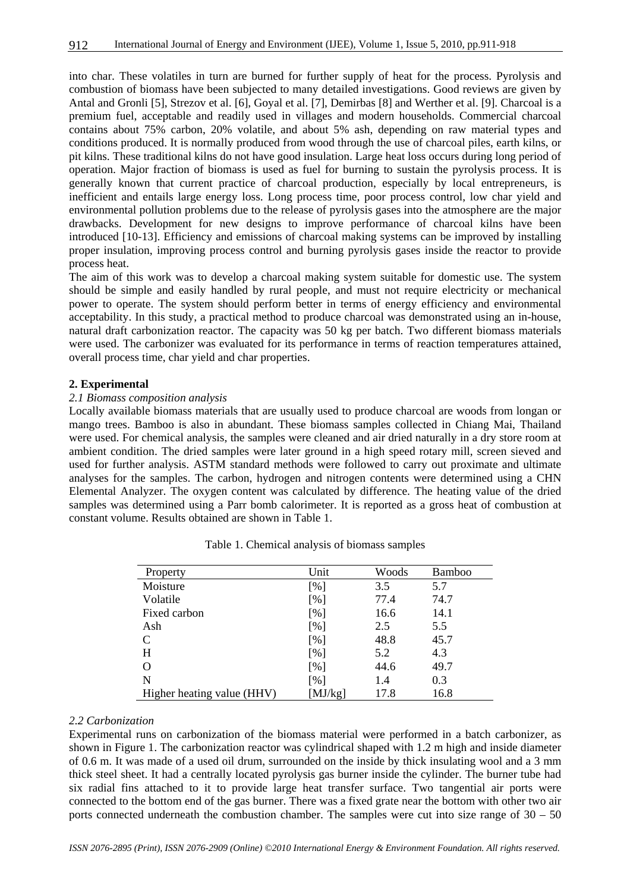into char. These volatiles in turn are burned for further supply of heat for the process. Pyrolysis and combustion of biomass have been subjected to many detailed investigations. Good reviews are given by Antal and Gronli [5], Strezov et al. [6], Goyal et al. [7], Demirbas [8] and Werther et al. [9]. Charcoal is a premium fuel, acceptable and readily used in villages and modern households. Commercial charcoal contains about 75% carbon, 20% volatile, and about 5% ash, depending on raw material types and conditions produced. It is normally produced from wood through the use of charcoal piles, earth kilns, or pit kilns. These traditional kilns do not have good insulation. Large heat loss occurs during long period of operation. Major fraction of biomass is used as fuel for burning to sustain the pyrolysis process. It is generally known that current practice of charcoal production, especially by local entrepreneurs, is inefficient and entails large energy loss. Long process time, poor process control, low char yield and environmental pollution problems due to the release of pyrolysis gases into the atmosphere are the major drawbacks. Development for new designs to improve performance of charcoal kilns have been introduced [10-13]. Efficiency and emissions of charcoal making systems can be improved by installing proper insulation, improving process control and burning pyrolysis gases inside the reactor to provide process heat.

The aim of this work was to develop a charcoal making system suitable for domestic use. The system should be simple and easily handled by rural people, and must not require electricity or mechanical power to operate. The system should perform better in terms of energy efficiency and environmental acceptability. In this study, a practical method to produce charcoal was demonstrated using an in-house, natural draft carbonization reactor. The capacity was 50 kg per batch. Two different biomass materials were used. The carbonizer was evaluated for its performance in terms of reaction temperatures attained, overall process time, char yield and char properties.

#### **2. Experimental**

#### *2.1 Biomass composition analysis*

Locally available biomass materials that are usually used to produce charcoal are woods from longan or mango trees. Bamboo is also in abundant. These biomass samples collected in Chiang Mai, Thailand were used. For chemical analysis, the samples were cleaned and air dried naturally in a dry store room at ambient condition. The dried samples were later ground in a high speed rotary mill, screen sieved and used for further analysis. ASTM standard methods were followed to carry out proximate and ultimate analyses for the samples. The carbon, hydrogen and nitrogen contents were determined using a CHN Elemental Analyzer. The oxygen content was calculated by difference. The heating value of the dried samples was determined using a Parr bomb calorimeter. It is reported as a gross heat of combustion at constant volume. Results obtained are shown in Table 1.

| Property                   | Unit               | Woods | <b>Bamboo</b> |
|----------------------------|--------------------|-------|---------------|
| Moisture                   | [%]                | 3.5   | 5.7           |
| Volatile                   | [%]                | 77.4  | 74.7          |
| Fixed carbon               | [%]                | 16.6  | 14.1          |
| Ash                        | $\lceil \% \rceil$ | 2.5   | 5.5           |
| C                          | [%]                | 48.8  | 45.7          |
| H                          | [%]                | 5.2   | 4.3           |
| O                          | [%]                | 44.6  | 49.7          |
| N                          | [%]                | 1.4   | 0.3           |
| Higher heating value (HHV) | [MJ/kg]            | 17.8  | 16.8          |

Table 1. Chemical analysis of biomass samples

#### *2.2 Carbonization*

Experimental runs on carbonization of the biomass material were performed in a batch carbonizer, as shown in Figure 1. The carbonization reactor was cylindrical shaped with 1.2 m high and inside diameter of 0.6 m. It was made of a used oil drum, surrounded on the inside by thick insulating wool and a 3 mm thick steel sheet. It had a centrally located pyrolysis gas burner inside the cylinder. The burner tube had six radial fins attached to it to provide large heat transfer surface. Two tangential air ports were connected to the bottom end of the gas burner. There was a fixed grate near the bottom with other two air ports connected underneath the combustion chamber. The samples were cut into size range of  $30 - 50$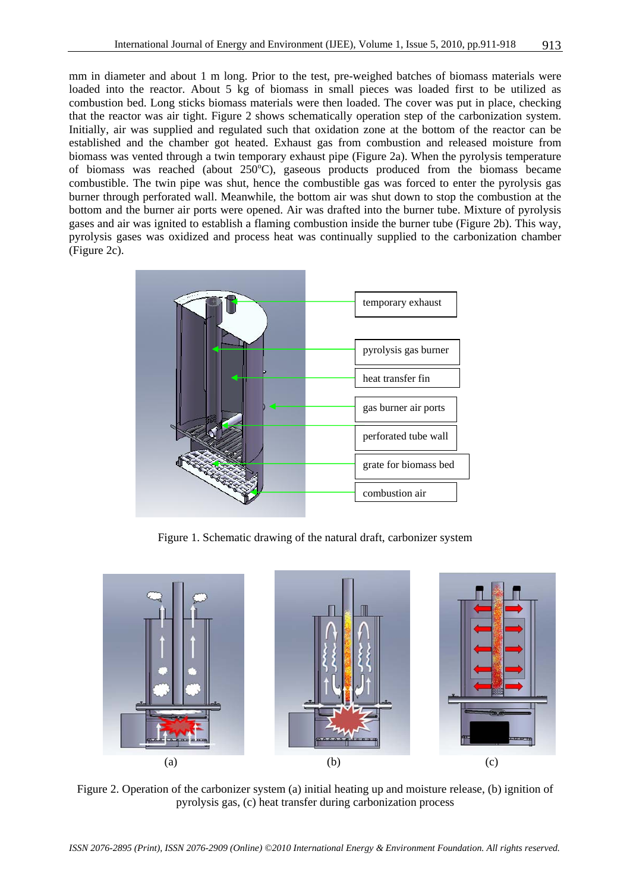mm in diameter and about 1 m long. Prior to the test, pre-weighed batches of biomass materials were loaded into the reactor. About 5 kg of biomass in small pieces was loaded first to be utilized as combustion bed. Long sticks biomass materials were then loaded. The cover was put in place, checking that the reactor was air tight. Figure 2 shows schematically operation step of the carbonization system. Initially, air was supplied and regulated such that oxidation zone at the bottom of the reactor can be established and the chamber got heated. Exhaust gas from combustion and released moisture from biomass was vented through a twin temporary exhaust pipe (Figure 2a). When the pyrolysis temperature of biomass was reached (about  $250^{\circ}$ C), gaseous products produced from the biomass became combustible. The twin pipe was shut, hence the combustible gas was forced to enter the pyrolysis gas burner through perforated wall. Meanwhile, the bottom air was shut down to stop the combustion at the bottom and the burner air ports were opened. Air was drafted into the burner tube. Mixture of pyrolysis gases and air was ignited to establish a flaming combustion inside the burner tube (Figure 2b). This way, pyrolysis gases was oxidized and process heat was continually supplied to the carbonization chamber (Figure 2c).



Figure 1. Schematic drawing of the natural draft, carbonizer system



Figure 2. Operation of the carbonizer system (a) initial heating up and moisture release, (b) ignition of pyrolysis gas, (c) heat transfer during carbonization process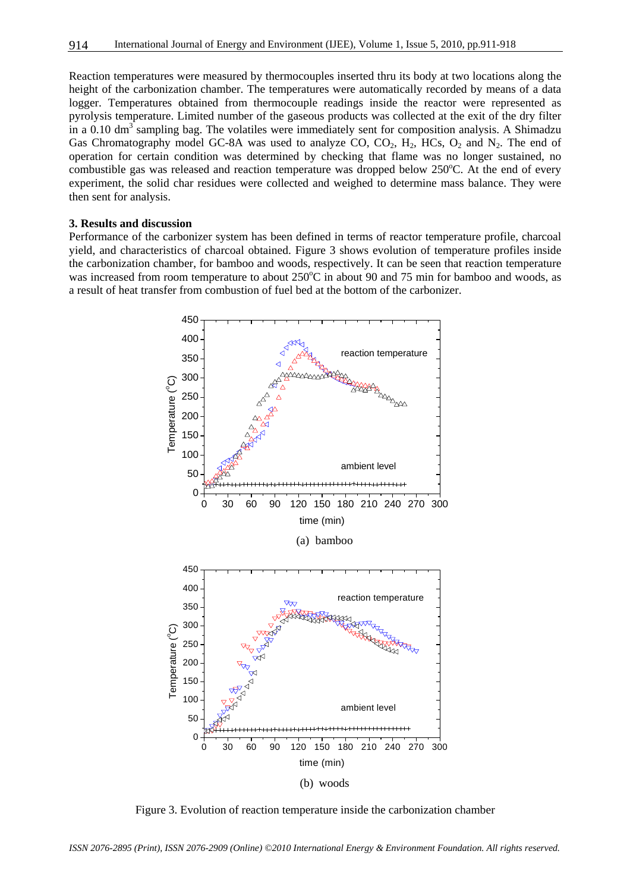Reaction temperatures were measured by thermocouples inserted thru its body at two locations along the height of the carbonization chamber. The temperatures were automatically recorded by means of a data logger. Temperatures obtained from thermocouple readings inside the reactor were represented as pyrolysis temperature. Limited number of the gaseous products was collected at the exit of the dry filter in a  $0.10 \text{ dm}^3$  sampling bag. The volatiles were immediately sent for composition analysis. A Shimadzu Gas Chromatography model GC-8A was used to analyze CO,  $CO<sub>2</sub>$ ,  $H<sub>2</sub>$ , HCs,  $O<sub>2</sub>$  and  $N<sub>2</sub>$ . The end of operation for certain condition was determined by checking that flame was no longer sustained, no combustible gas was released and reaction temperature was dropped below 250°C. At the end of every experiment, the solid char residues were collected and weighed to determine mass balance. They were then sent for analysis.

#### **3. Results and discussion**

Performance of the carbonizer system has been defined in terms of reactor temperature profile, charcoal yield, and characteristics of charcoal obtained. Figure 3 shows evolution of temperature profiles inside the carbonization chamber, for bamboo and woods, respectively. It can be seen that reaction temperature was increased from room temperature to about 250°C in about 90 and 75 min for bamboo and woods, as a result of heat transfer from combustion of fuel bed at the bottom of the carbonizer.



(b) woods

Figure 3. Evolution of reaction temperature inside the carbonization chamber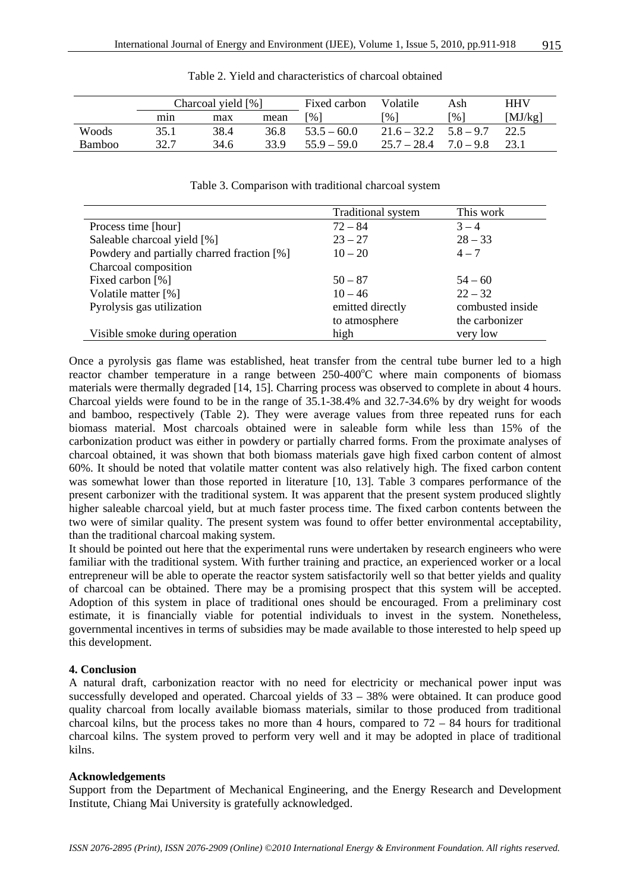|        | Charcoal yield [%] |      | Fixed carbon | Volatile      | Ash                           | HHV         |         |
|--------|--------------------|------|--------------|---------------|-------------------------------|-------------|---------|
|        | mın                | max  | mean         | [%]           | $\lceil 9\!\!/_{\! 0} \rceil$ | [%]         | [MJ/kg] |
| Woods  | 35.1               | 38.4 | 36.8         | $53.5 - 60.0$ | $21.6 - 32.2$                 | $5.8 - 9.7$ | 22.5    |
| Bamboo | 32.7               | 34.6 | 33 Q         | $55.9 - 59.0$ | $25.7 - 28.4$                 | $7.0 - 9.8$ |         |

Table 2. Yield and characteristics of charcoal obtained

|  |  |  | Table 3. Comparison with traditional charcoal system |  |  |
|--|--|--|------------------------------------------------------|--|--|
|--|--|--|------------------------------------------------------|--|--|

|                                            | <b>Traditional system</b> | This work        |
|--------------------------------------------|---------------------------|------------------|
| Process time [hour]                        | $72 - 84$                 | $3 - 4$          |
| Saleable charcoal yield [%]                | $23 - 27$                 | $28 - 33$        |
| Powdery and partially charred fraction [%] | $10 - 20$                 | $4 - 7$          |
| Charcoal composition                       |                           |                  |
| Fixed carbon [%]                           | $50 - 87$                 | $54 - 60$        |
| Volatile matter [%]                        | $10 - 46$                 | $22 - 32$        |
| Pyrolysis gas utilization                  | emitted directly          | combusted inside |
|                                            | to atmosphere             | the carbonizer   |
| Visible smoke during operation             | high                      | very low         |

Once a pyrolysis gas flame was established, heat transfer from the central tube burner led to a high reactor chamber temperature in a range between 250-400°C where main components of biomass materials were thermally degraded [14, 15]. Charring process was observed to complete in about 4 hours. Charcoal yields were found to be in the range of 35.1-38.4% and 32.7-34.6% by dry weight for woods and bamboo, respectively (Table 2). They were average values from three repeated runs for each biomass material. Most charcoals obtained were in saleable form while less than 15% of the carbonization product was either in powdery or partially charred forms. From the proximate analyses of charcoal obtained, it was shown that both biomass materials gave high fixed carbon content of almost 60%. It should be noted that volatile matter content was also relatively high. The fixed carbon content was somewhat lower than those reported in literature [10, 13]. Table 3 compares performance of the present carbonizer with the traditional system. It was apparent that the present system produced slightly higher saleable charcoal yield, but at much faster process time. The fixed carbon contents between the two were of similar quality. The present system was found to offer better environmental acceptability, than the traditional charcoal making system.

It should be pointed out here that the experimental runs were undertaken by research engineers who were familiar with the traditional system. With further training and practice, an experienced worker or a local entrepreneur will be able to operate the reactor system satisfactorily well so that better yields and quality of charcoal can be obtained. There may be a promising prospect that this system will be accepted. Adoption of this system in place of traditional ones should be encouraged. From a preliminary cost estimate, it is financially viable for potential individuals to invest in the system. Nonetheless, governmental incentives in terms of subsidies may be made available to those interested to help speed up this development.

#### **4. Conclusion**

A natural draft, carbonization reactor with no need for electricity or mechanical power input was successfully developed and operated. Charcoal yields of 33 – 38% were obtained. It can produce good quality charcoal from locally available biomass materials, similar to those produced from traditional charcoal kilns, but the process takes no more than 4 hours, compared to  $72 - 84$  hours for traditional charcoal kilns. The system proved to perform very well and it may be adopted in place of traditional kilns.

#### **Acknowledgements**

Support from the Department of Mechanical Engineering, and the Energy Research and Development Institute, Chiang Mai University is gratefully acknowledged.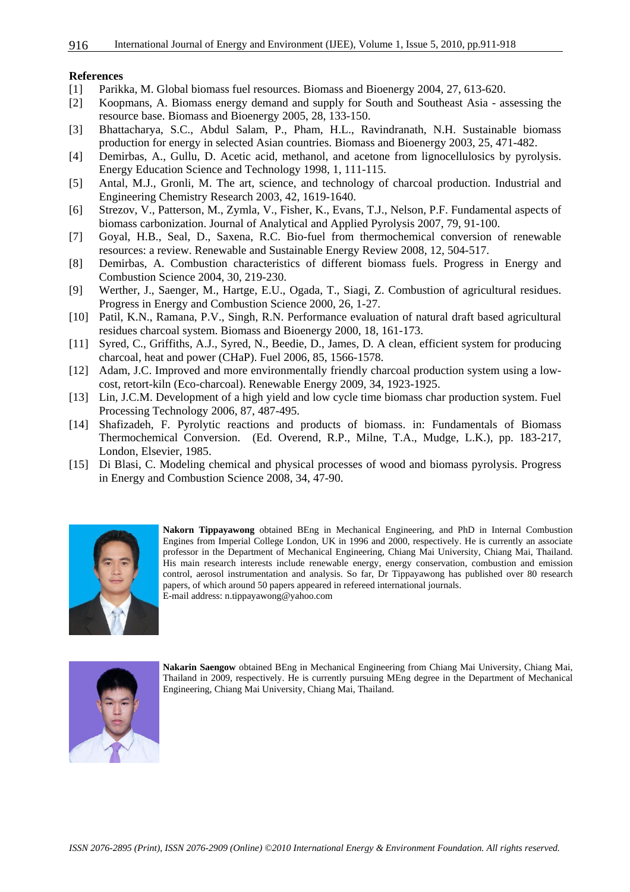#### **References**

- [1] Parikka, M. Global biomass fuel resources. Biomass and Bioenergy 2004, 27, 613-620.
- [2] Koopmans, A. Biomass energy demand and supply for South and Southeast Asia assessing the resource base. Biomass and Bioenergy 2005, 28, 133-150.
- [3] Bhattacharya, S.C., Abdul Salam, P., Pham, H.L., Ravindranath, N.H. Sustainable biomass production for energy in selected Asian countries. Biomass and Bioenergy 2003, 25, 471-482.
- [4] Demirbas, A., Gullu, D. Acetic acid, methanol, and acetone from lignocellulosics by pyrolysis. Energy Education Science and Technology 1998, 1, 111-115.
- [5] Antal, M.J., Gronli, M. The art, science, and technology of charcoal production. Industrial and Engineering Chemistry Research 2003, 42, 1619-1640.
- [6] Strezov, V., Patterson, M., Zymla, V., Fisher, K., Evans, T.J., Nelson, P.F. Fundamental aspects of biomass carbonization. Journal of Analytical and Applied Pyrolysis 2007, 79, 91-100.
- [7] Goyal, H.B., Seal, D., Saxena, R.C. Bio-fuel from thermochemical conversion of renewable resources: a review. Renewable and Sustainable Energy Review 2008, 12, 504-517.
- [8] Demirbas, A. Combustion characteristics of different biomass fuels. Progress in Energy and Combustion Science 2004, 30, 219-230.
- [9] Werther, J., Saenger, M., Hartge, E.U., Ogada, T., Siagi, Z. Combustion of agricultural residues. Progress in Energy and Combustion Science 2000, 26, 1-27.
- [10] Patil, K.N., Ramana, P.V., Singh, R.N. Performance evaluation of natural draft based agricultural residues charcoal system. Biomass and Bioenergy 2000, 18, 161-173.
- [11] Syred, C., Griffiths, A.J., Syred, N., Beedie, D., James, D. A clean, efficient system for producing charcoal, heat and power (CHaP). Fuel 2006, 85, 1566-1578.
- [12] Adam, J.C. Improved and more environmentally friendly charcoal production system using a lowcost, retort-kiln (Eco-charcoal). Renewable Energy 2009, 34, 1923-1925.
- [13] Lin, J.C.M. Development of a high yield and low cycle time biomass char production system. Fuel Processing Technology 2006, 87, 487-495.
- [14] Shafizadeh, F. Pyrolytic reactions and products of biomass. in: Fundamentals of Biomass Thermochemical Conversion. (Ed. Overend, R.P., Milne, T.A., Mudge, L.K.), pp. 183-217, London, Elsevier, 1985.
- [15] Di Blasi, C. Modeling chemical and physical processes of wood and biomass pyrolysis. Progress in Energy and Combustion Science 2008, 34, 47-90.



**Nakorn Tippayawong** obtained BEng in Mechanical Engineering, and PhD in Internal Combustion Engines from Imperial College London, UK in 1996 and 2000, respectively. He is currently an associate professor in the Department of Mechanical Engineering, Chiang Mai University, Chiang Mai, Thailand. His main research interests include renewable energy, energy conservation, combustion and emission control, aerosol instrumentation and analysis. So far, Dr Tippayawong has published over 80 research papers, of which around 50 papers appeared in refereed international journals. E-mail address: n.tippayawong@yahoo.com



**Nakarin Saengow** obtained BEng in Mechanical Engineering from Chiang Mai University, Chiang Mai, Thailand in 2009, respectively. He is currently pursuing MEng degree in the Department of Mechanical Engineering, Chiang Mai University, Chiang Mai, Thailand.